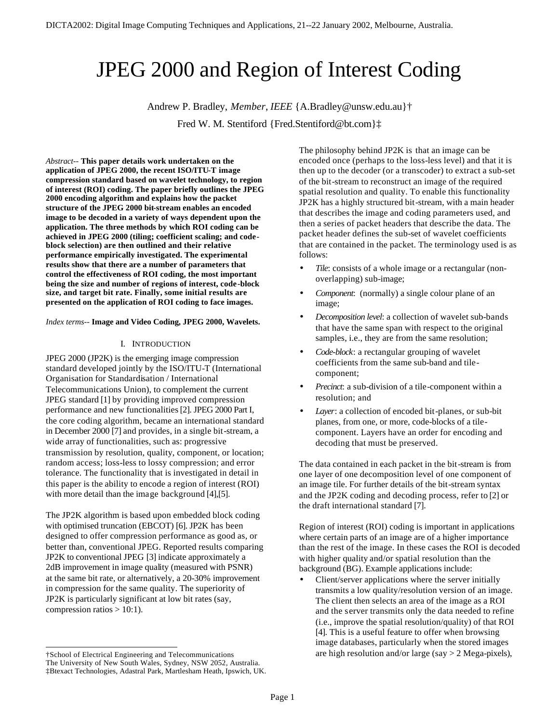# JPEG 2000 and Region of Interest Coding

Andrew P. Bradley, *Member*, *IEEE* {A.Bradley@unsw.edu.au}† Fred W. M. Stentiford {Fred.Stentiford@bt.com}‡

*Abstract--* **This paper details work undertaken on the application of JPEG 2000, the recent ISO/ITU-T image compression standard based on wavelet technology, to region of interest (ROI) coding. The paper briefly outlines the JPEG 2000 encoding algorithm and explains how the packet structure of the JPEG 2000 bit-stream enables an encoded image to be decoded in a variety of ways dependent upon the application. The three methods by which ROI coding can be achieved in JPEG 2000 (tiling; coefficient scaling; and codeblock selection) are then outlined and their relative performance empirically investigated. The experimental results show that there are a number of parameters that control the effectiveness of ROI coding, the most important being the size and number of regions of interest, code-block size, and target bit rate. Finally, some initial results are presented on the application of ROI coding to face images.**

*Index terms--* **Image and Video Coding, JPEG 2000, Wavelets.**

## I. INTRODUCTION

JPEG 2000 (JP2K) is the emerging image compression standard developed jointly by the ISO/ITU-T (International Organisation for Standardisation / International Telecommunications Union), to complement the current JPEG standard [1] by providing improved compression performance and new functionalities [2]. JPEG 2000 Part I, the core coding algorithm, became an international standard in December 2000 [7] and provides, in a single bit-stream, a wide array of functionalities, such as: progressive transmission by resolution, quality, component, or location; random access; loss-less to lossy compression; and error tolerance. The functionality that is investigated in detail in this paper is the ability to encode a region of interest (ROI) with more detail than the image background [4],[5].

The JP2K algorithm is based upon embedded block coding with optimised truncation (EBCOT) [6]. JP2K has been designed to offer compression performance as good as, or better than, conventional JPEG. Reported results comparing JP2K to conventional JPEG [3] indicate approximately a 2dB improvement in image quality (measured with PSNR) at the same bit rate, or alternatively, a 20-30% improvement in compression for the same quality. The superiority of JP2K is particularly significant at low bit rates (say, compression ratios  $> 10:1$ ).

The philosophy behind JP2K is that an image can be encoded once (perhaps to the loss-less level) and that it is then up to the decoder (or a transcoder) to extract a sub-set of the bit-stream to reconstruct an image of the required spatial resolution and quality. To enable this functionality JP2K has a highly structured bit-stream, with a main header that describes the image and coding parameters used, and then a series of packet headers that describe the data. The packet header defines the sub-set of wavelet coefficients that are contained in the packet. The terminology used is as follows:

- Tile: consists of a whole image or a rectangular (nonoverlapping) sub-image;
- *Component*: (normally) a single colour plane of an image;
- *Decomposition level*: a collection of wavelet sub-bands that have the same span with respect to the original samples, i.e., they are from the same resolution;
- *Code-block*: a rectangular grouping of wavelet coefficients from the same sub-band and tilecomponent;
- *Precinct*: a sub-division of a tile-component within a resolution; and
- Layer: a collection of encoded bit-planes, or sub-bit planes, from one, or more, code-blocks of a tilecomponent. Layers have an order for encoding and decoding that must be preserved.

The data contained in each packet in the bit-stream is from one layer of one decomposition level of one component of an image tile. For further details of the bit-stream syntax and the JP2K coding and decoding process, refer to [2] or the draft international standard [7].

Region of interest (ROI) coding is important in applications where certain parts of an image are of a higher importance than the rest of the image. In these cases the ROI is decoded with higher quality and/or spatial resolution than the background (BG). Example applications include:

• Client/server applications where the server initially transmits a low quality/resolution version of an image. The client then selects an area of the image as a ROI and the server transmits only the data needed to refine (i.e., improve the spatial resolution/quality) of that ROI [4]. This is a useful feature to offer when browsing image databases, particularly when the stored images are high resolution and/or large (say > 2 Mega-pixels),

l †School of Electrical Engineering and Telecommunications The University of New South Wales, Sydney, NSW 2052, Australia. ‡Btexact Technologies, Adastral Park, Martlesham Heath, Ipswich, UK.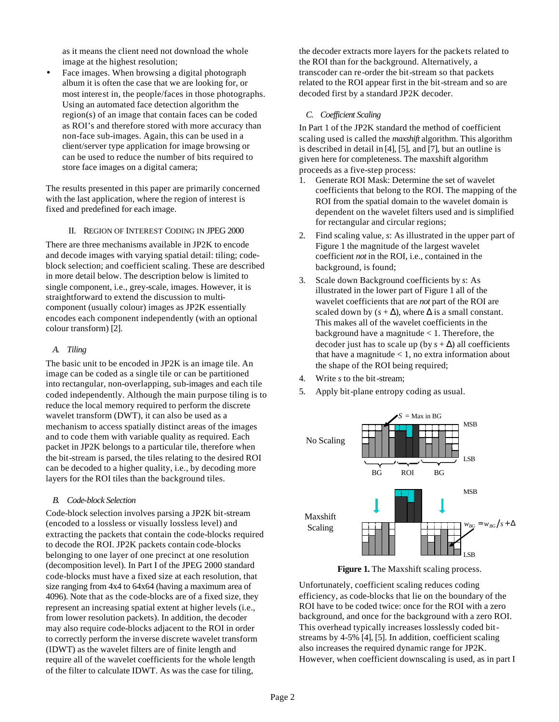as it means the client need not download the whole image at the highest resolution;

Face images. When browsing a digital photograph album it is often the case that we are looking for, or most interest in, the people/faces in those photographs. Using an automated face detection algorithm the region(s) of an image that contain faces can be coded as ROI's and therefore stored with more accuracy than non-face sub-images. Again, this can be used in a client/server type application for image browsing or can be used to reduce the number of bits required to store face images on a digital camera;

The results presented in this paper are primarily concerned with the last application, where the region of interest is fixed and predefined for each image.

## II. REGION OF INTEREST CODING IN JPEG 2000

There are three mechanisms available in JP2K to encode and decode images with varying spatial detail: tiling; codeblock selection; and coefficient scaling. These are described in more detail below. The description below is limited to single component, i.e., grey-scale, images. However, it is straightforward to extend the discussion to multicomponent (usually colour) images as JP2K essentially encodes each component independently (with an optional colour transform) [2].

#### *A. Tiling*

The basic unit to be encoded in JP2K is an image tile. An image can be coded as a single tile or can be partitioned into rectangular, non-overlapping, sub-images and each tile coded independently. Although the main purpose tiling is to reduce the local memory required to perform the discrete wavelet transform (DWT), it can also be used as a mechanism to access spatially distinct areas of the images and to code them with variable quality as required. Each packet in JP2K belongs to a particular tile, therefore when the bit-stream is parsed, the tiles relating to the desired ROI can be decoded to a higher quality, i.e., by decoding more layers for the ROI tiles than the background tiles.

#### *B. Code-block Selection*

Code-block selection involves parsing a JP2K bit-stream (encoded to a lossless or visually lossless level) and extracting the packets that contain the code-blocks required to decode the ROI. JP2K packets contain code-blocks belonging to one layer of one precinct at one resolution (decomposition level). In Part I of the JPEG 2000 standard code-blocks must have a fixed size at each resolution, that size ranging from 4x4 to 64x64 (having a maximum area of 4096). Note that as the code-blocks are of a fixed size, they represent an increasing spatial extent at higher levels (i.e., from lower resolution packets). In addition, the decoder may also require code-blocks adjacent to the ROI in order to correctly perform the inverse discrete wavelet transform (IDWT) as the wavelet filters are of finite length and require all of the wavelet coefficients for the whole length of the filter to calculate IDWT. As was the case for tiling,

the decoder extracts more layers for the packets related to the ROI than for the background. Alternatively, a transcoder can re-order the bit-stream so that packets related to the ROI appear first in the bit-stream and so are decoded first by a standard JP2K decoder.

#### *C. Coefficient Scaling*

In Part 1 of the JP2K standard the method of coefficient scaling used is called the *maxshift* algorithm. This algorithm is described in detail in [4], [5], and [7], but an outline is given here for completeness. The maxshift algorithm proceeds as a five-step process:

- 1. Generate ROI Mask: Determine the set of wavelet coefficients that belong to the ROI. The mapping of the ROI from the spatial domain to the wavelet domain is dependent on the wavelet filters used and is simplified for rectangular and circular regions;
- 2. Find scaling value, *s*: As illustrated in the upper part of Figure 1 the magnitude of the largest wavelet coefficient *not* in the ROI, i.e., contained in the background, is found;
- 3. Scale down Background coefficients by *s*: As illustrated in the lower part of Figure 1 all of the wavelet coefficients that are *not* part of the ROI are scaled down by  $(s + \Delta)$ , where  $\Delta$  is a small constant. This makes all of the wavelet coefficients in the background have a magnitude  $< 1$ . Therefore, the decoder just has to scale up (by  $s + \Delta$ ) all coefficients that have a magnitude  $< 1$ , no extra information about the shape of the ROI being required;
- 4. Write *s* to the bit-stream;
- 5. Apply bit-plane entropy coding as usual.



**Figure 1.** The Maxshift scaling process.

Unfortunately, coefficient scaling reduces coding efficiency, as code-blocks that lie on the boundary of the ROI have to be coded twice: once for the ROI with a zero background, and once for the background with a zero ROI. This overhead typically increases losslessly coded bitstreams by 4-5% [4], [5]. In addition, coefficient scaling also increases the required dynamic range for JP2K. However, when coefficient downscaling is used, as in part I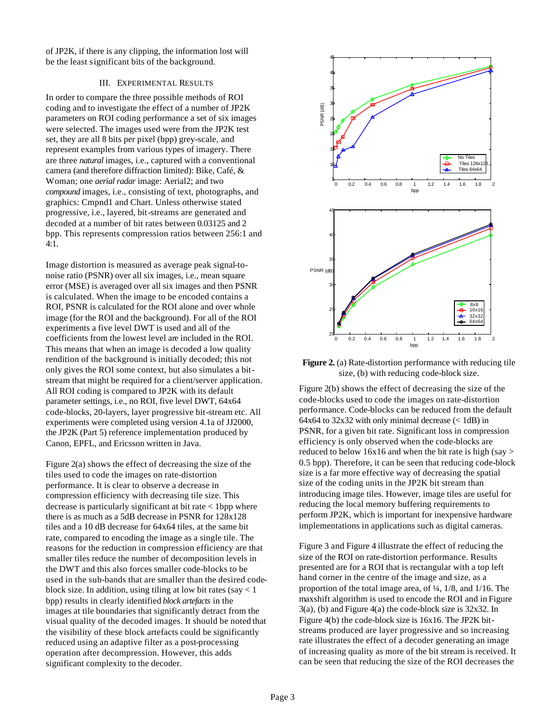of JP2K, if there is any clipping, the information lost will be the least significant bits of the background.

#### III. EXPERIMENTAL RESULTS

In order to compare the three possible methods of ROI coding and to investigate the effect of a number of JP2K parameters on ROI coding performance a set of six images were selected. The images used were from the JP2K test set, they are all 8 bits per pixel (bpp) grey-scale, and represent examples from various types of imagery. There are three *natural* images, i.e., captured with a conventional camera (and therefore diffraction limited): Bike, Café, & Woman; one *aerial radar* image: Aerial2; and two *compound* images, i.e., consisting of text, photographs, and graphics: Cmpnd1 and Chart. Unless otherwise stated progressive, i.e., layered, bit-streams are generated and decoded at a number of bit rates between 0.03125 and 2 bpp. This represents compression ratios between 256:1 and 4:1.

Image distortion is measured as average peak signal-tonoise ratio (PSNR) over all six images, i.e., mean square error (MSE) is averaged over all six images and then PSNR is calculated. When the image to be encoded contains a ROI, PSNR is calculated for the ROI alone and over whole image (for the ROI and the background). For all of the ROI experiments a five level DWT is used and all of the coefficients from the lowest level are included in the ROI. This means that when an image is decoded a low quality rendition of the background is initially decoded; this not only gives the ROI some context, but also simulates a bitstream that might be required for a client/server application. All ROI coding is compared to JP2K with its default parameter settings, i.e., no ROI, five level DWT, 64x64 code-blocks, 20-layers, layer progressive bit-stream etc. All experiments were completed using version 4.1a of JJ2000, the JP2K (Part 5) reference implementation produced by Canon, EPFL, and Ericsson written in Java.

Figure 2(a) shows the effect of decreasing the size of the tiles used to code the images on rate-distortion performance. It is clear to observe a decrease in compression efficiency with decreasing tile size. This decrease is particularly significant at bit rate < 1bpp where there is as much as a 5dB decrease in PSNR for 128x128 tiles and a 10 dB decrease for 64x64 tiles, at the same bit rate, compared to encoding the image as a single tile. The reasons for the reduction in compression efficiency are that smaller tiles reduce the number of decomposition levels in the DWT and this also forces smaller code-blocks to be used in the sub-bands that are smaller than the desired codeblock size. In addition, using tiling at low bit rates (say < 1 bpp) results in clearly identified *block artefacts* in the images at tile boundaries that significantly detract from the visual quality of the decoded images. It should be noted that the visibility of these block artefacts could be significantly reduced using an adaptive filter as a post-processing operation after decompression. However, this adds significant complexity to the decoder.



**Figure 2.** (a) Rate-distortion performance with reducing tile size, (b) with reducing code-block size.

Figure 2(b) shows the effect of decreasing the size of the code-blocks used to code the images on rate-distortion performance. Code-blocks can be reduced from the default 64x64 to 32x32 with only minimal decrease  $(< 1dB$ ) in PSNR, for a given bit rate. Significant loss in compression efficiency is only observed when the code-blocks are reduced to below 16x16 and when the bit rate is high (say  $>$ 0.5 bpp). Therefore, it can be seen that reducing code-block size is a far more effective way of decreasing the spatial size of the coding units in the JP2K bit stream than introducing image tiles. However, image tiles are useful for reducing the local memory buffering requirements to perform JP2K, which is important for inexpensive hardware implementations in applications such as digital cameras.

Figure 3 and Figure 4 illustrate the effect of reducing the size of the ROI on rate-distortion performance. Results presented are for a ROI that is rectangular with a top left hand corner in the centre of the image and size, as a proportion of the total image area, of ¼, 1/8, and 1/16. The maxshift algorithm is used to encode the ROI and in Figure 3(a), (b) and Figure 4(a) the code-block size is 32x32. In Figure 4(b) the code-block size is 16x16. The JP2K bitstreams produced are layer progressive and so increasing rate illustrates the effect of a decoder generating an image of increasing quality as more of the bit stream is received. It can be seen that reducing the size of the ROI decreases the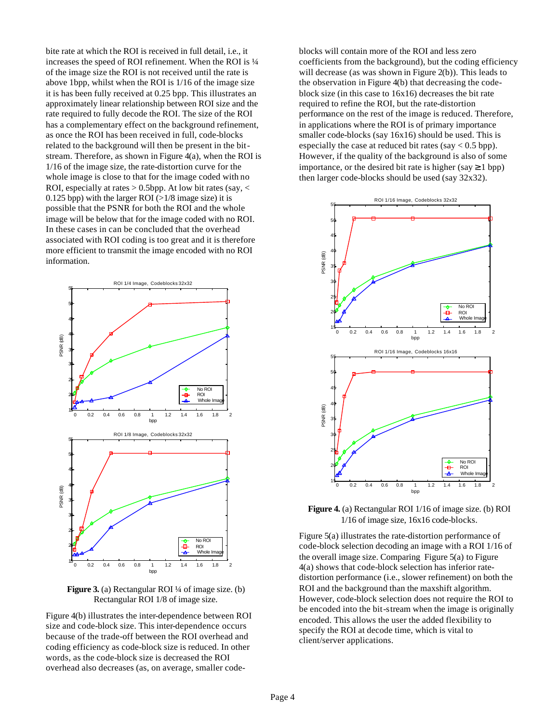bite rate at which the ROI is received in full detail, i.e., it increases the speed of ROI refinement. When the ROI is ¼ of the image size the ROI is not received until the rate is above 1bpp, whilst when the ROI is 1/16 of the image size it is has been fully received at 0.25 bpp. This illustrates an approximately linear relationship between ROI size and the rate required to fully decode the ROI. The size of the ROI has a complementary effect on the background refinement, as once the ROI has been received in full, code-blocks related to the background will then be present in the bitstream. Therefore, as shown in Figure 4(a), when the ROI is 1/16 of the image size, the rate-distortion curve for the whole image is close to that for the image coded with no ROI, especially at rates  $> 0.5$ bpp. At low bit rates (say,  $<$ 0.125 bpp) with the larger ROI ( $>1/8$  image size) it is possible that the PSNR for both the ROI and the whole image will be below that for the image coded with no ROI. In these cases in can be concluded that the overhead associated with ROI coding is too great and it is therefore more efficient to transmit the image encoded with no ROI information.



**Figure 3.** (a) Rectangular ROI ¼ of image size. (b) Rectangular ROI 1/8 of image size.

Figure 4(b) illustrates the inter-dependence between ROI size and code-block size. This inter-dependence occurs because of the trade-off between the ROI overhead and coding efficiency as code-block size is reduced. In other words, as the code-block size is decreased the ROI overhead also decreases (as, on average, smaller codeblocks will contain more of the ROI and less zero coefficients from the background), but the coding efficiency will decrease (as was shown in Figure 2(b)). This leads to the observation in Figure 4(b) that decreasing the codeblock size (in this case to 16x16) decreases the bit rate required to refine the ROI, but the rate-distortion performance on the rest of the image is reduced. Therefore, in applications where the ROI is of primary importance smaller code-blocks (say 16x16) should be used. This is especially the case at reduced bit rates (say  $< 0.5$  bpp). However, if the quality of the background is also of some importance, or the desired bit rate is higher (say  $\geq 1$  bpp) then larger code-blocks should be used (say 32x32).



**Figure 4.** (a) Rectangular ROI 1/16 of image size. (b) ROI 1/16 of image size, 16x16 code-blocks.

Figure 5(a) illustrates the rate-distortion performance of code-block selection decoding an image with a ROI 1/16 of the overall image size. Comparing Figure 5(a) to Figure 4(a) shows that code-block selection has inferior ratedistortion performance (i.e., slower refinement) on both the ROI and the background than the maxshift algorithm. However, code-block selection does not require the ROI to be encoded into the bit-stream when the image is originally encoded. This allows the user the added flexibility to specify the ROI at decode time, which is vital to client/server applications.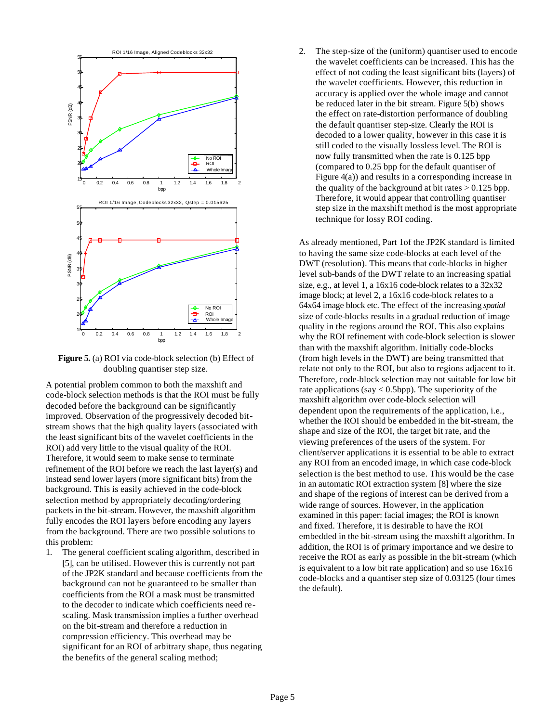

**Figure 5.** (a) ROI via code-block selection (b) Effect of doubling quantiser step size.

A potential problem common to both the maxshift and code-block selection methods is that the ROI must be fully decoded before the background can be significantly improved. Observation of the progressively decoded bitstream shows that the high quality layers (associated with the least significant bits of the wavelet coefficients in the ROI) add very little to the visual quality of the ROI. Therefore, it would seem to make sense to terminate refinement of the ROI before we reach the last layer(s) and instead send lower layers (more significant bits) from the background. This is easily achieved in the code-block selection method by appropriately decoding/ordering packets in the bit-stream. However, the maxshift algorithm fully encodes the ROI layers before encoding any layers from the background. There are two possible solutions to this problem:

1. The general coefficient scaling algorithm, described in [5], can be utilised. However this is currently not part of the JP2K standard and because coefficients from the background can not be guaranteed to be smaller than coefficients from the ROI a mask must be transmitted to the decoder to indicate which coefficients need rescaling. Mask transmission implies a further overhead on the bit-stream and therefore a reduction in compression efficiency. This overhead may be significant for an ROI of arbitrary shape, thus negating the benefits of the general scaling method;

2. The step-size of the (uniform) quantiser used to encode the wavelet coefficients can be increased. This has the effect of not coding the least significant bits (layers) of the wavelet coefficients. However, this reduction in accuracy is applied over the whole image and cannot be reduced later in the bit stream. Figure 5(b) shows the effect on rate-distortion performance of doubling the default quantiser step-size. Clearly the ROI is decoded to a lower quality, however in this case it is still coded to the visually lossless level. The ROI is now fully transmitted when the rate is 0.125 bpp (compared to 0.25 bpp for the default quantiser of Figure 4(a)) and results in a corresponding increase in the quality of the background at bit rates  $> 0.125$  bpp. Therefore, it would appear that controlling quantiser step size in the maxshift method is the most appropriate technique for lossy ROI coding.

As already mentioned, Part 1of the JP2K standard is limited to having the same size code-blocks at each level of the DWT (resolution). This means that code-blocks in higher level sub-bands of the DWT relate to an increasing spatial size, e.g., at level 1, a 16x16 code-block relates to a 32x32 image block; at level 2, a 16x16 code-block relates to a 64x64 image block etc. The effect of the increasing *spatial* size of code-blocks results in a gradual reduction of image quality in the regions around the ROI. This also explains why the ROI refinement with code-block selection is slower than with the maxshift algorithm. Initially code-blocks (from high levels in the DWT) are being transmitted that relate not only to the ROI, but also to regions adjacent to it. Therefore, code-block selection may not suitable for low bit rate applications (say  $< 0.5$ bpp). The superiority of the maxshift algorithm over code-block selection will dependent upon the requirements of the application, i.e., whether the ROI should be embedded in the bit-stream, the shape and size of the ROI, the target bit rate, and the viewing preferences of the users of the system. For client/server applications it is essential to be able to extract any ROI from an encoded image, in which case code-block selection is the best method to use. This would be the case in an automatic ROI extraction system [8] where the size and shape of the regions of interest can be derived from a wide range of sources. However, in the application examined in this paper: facial images; the ROI is known and fixed. Therefore, it is desirable to have the ROI embedded in the bit-stream using the maxshift algorithm. In addition, the ROI is of primary importance and we desire to receive the ROI as early as possible in the bit-stream (which is equivalent to a low bit rate application) and so use 16x16 code-blocks and a quantiser step size of 0.03125 (four times the default).